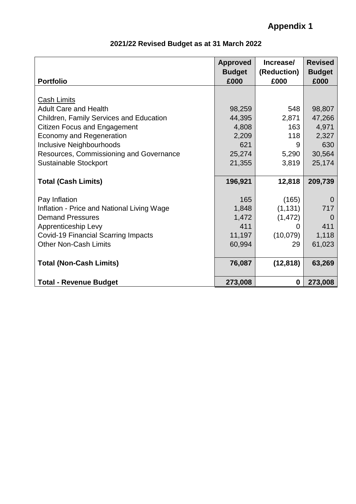|                                            | <b>Approved</b><br><b>Budget</b> | Increase/<br>(Reduction) | <b>Revised</b><br><b>Budget</b> |
|--------------------------------------------|----------------------------------|--------------------------|---------------------------------|
| <b>Portfolio</b>                           | £000                             | £000                     | £000                            |
|                                            |                                  |                          |                                 |
| <b>Cash Limits</b>                         |                                  |                          |                                 |
| <b>Adult Care and Health</b>               | 98,259                           | 548                      | 98,807                          |
| Children, Family Services and Education    | 44,395                           | 2,871                    | 47,266                          |
| <b>Citizen Focus and Engagement</b>        | 4,808                            | 163                      | 4,971                           |
| <b>Economy and Regeneration</b>            | 2,209                            | 118                      | 2,327                           |
| Inclusive Neighbourhoods                   | 621                              | 9                        | 630                             |
| Resources, Commissioning and Governance    | 25,274                           | 5,290                    | 30,564                          |
| <b>Sustainable Stockport</b>               | 21,355                           | 3,819                    | 25,174                          |
|                                            |                                  |                          |                                 |
| <b>Total (Cash Limits)</b>                 | 196,921                          | 12,818                   | 209,739                         |
|                                            |                                  |                          |                                 |
| Pay Inflation                              | 165                              | (165)                    | 0                               |
| Inflation - Price and National Living Wage | 1,848                            | (1, 131)                 | 717                             |
| <b>Demand Pressures</b>                    | 1,472                            | (1, 472)                 | $\Omega$                        |
| Apprenticeship Levy                        | 411                              | 0                        | 411                             |
| <b>Covid-19 Financial Scarring Impacts</b> | 11,197                           | (10,079)                 | 1,118                           |
| <b>Other Non-Cash Limits</b>               | 60,994                           | 29                       | 61,023                          |
|                                            |                                  |                          |                                 |
| <b>Total (Non-Cash Limits)</b>             | 76,087                           | (12, 818)                | 63,269                          |
| <b>Total - Revenue Budget</b>              | 273,008                          | $\boldsymbol{0}$         | 273,008                         |

## **2021/22 Revised Budget as at 31 March 2022**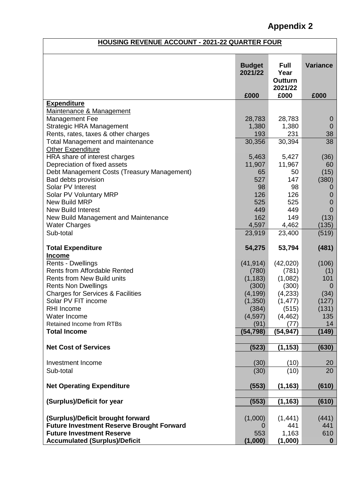## **Appendix 2**

## **HOUSING REVENUE ACCOUNT - 2021-22 QUARTER FOUR**

|                                                  | <b>Budget</b><br>2021/22 | <b>Full</b><br>Year<br><b>Outturn</b><br>2021/22 | <b>Variance</b> |
|--------------------------------------------------|--------------------------|--------------------------------------------------|-----------------|
|                                                  | £000                     | £000                                             | £000            |
| <b>Expenditure</b>                               |                          |                                                  |                 |
| Maintenance & Management                         |                          |                                                  |                 |
| Management Fee                                   | 28,783                   | 28,783                                           | $\overline{0}$  |
| <b>Strategic HRA Management</b>                  | 1,380                    | 1,380                                            | $\overline{0}$  |
| Rents, rates, taxes & other charges              | 193                      | 231                                              | 38              |
| <b>Total Management and maintenance</b>          | 30,356                   | 30,394                                           | 38              |
| <b>Other Expenditure</b>                         |                          |                                                  |                 |
| HRA share of interest charges                    | 5,463                    | 5,427                                            | (36)            |
| Depreciation of fixed assets                     | 11,907                   | 11,967                                           | 60              |
| Debt Management Costs (Treasury Management)      | 65                       | 50                                               | (15)            |
| Bad debts provision                              | 527                      | 147                                              | (380)           |
| Solar PV Interest                                | 98                       | 98                                               | O               |
| Solar PV Voluntary MRP                           | 126                      | 126                                              | 0               |
| New Build MRP                                    | 525                      | 525                                              | 0               |
| New Build Interest                               | 449                      | 449                                              | $\overline{0}$  |
| New Build Management and Maintenance             | 162                      | 149                                              | (13)            |
| <b>Water Charges</b>                             | 4,597                    | 4,462                                            | (135)           |
| Sub-total                                        | 23,919                   | 23,400                                           | (519)           |
| <b>Total Expenditure</b>                         | 54,275                   | 53,794                                           | (481)           |
| <b>Income</b>                                    |                          |                                                  |                 |
| Rents - Dwellings                                | (41, 914)                | (42,020)                                         | (106)           |
| <b>Rents from Affordable Rented</b>              | (780)                    | (781)                                            | (1)             |
| <b>Rents from New Build units</b>                | (1, 183)                 | (1,082)                                          | 101             |
| <b>Rents Non Dwellings</b>                       | (300)                    | (300)                                            | 0               |
| <b>Charges for Services &amp; Facilities</b>     | (4, 199)                 | (4,233)                                          | (34)            |
| Solar PV FIT income                              | (1,350)                  | (1, 477)                                         | (127)           |
| RHI Income                                       | (384)                    | (515)                                            | (131)           |
| Water Income                                     | (4, 597)                 | (4, 462)                                         | 135             |
| <b>Retained Income from RTBs</b>                 | (91)                     | (77)                                             | 14              |
| <b>Total Income</b>                              | (54, 798)                | (54, 947)                                        | (149)           |
| <b>Net Cost of Services</b>                      | (523)                    | (1, 153)                                         | (630)           |
|                                                  |                          |                                                  |                 |
| Investment Income                                | (30)                     | (10)                                             | 20              |
| Sub-total                                        | (30)                     | (10)                                             | 20              |
| <b>Net Operating Expenditure</b>                 | (553)                    | (1, 163)                                         | (610)           |
| (Surplus)/Deficit for year                       | (553)                    | (1, 163)                                         | (610)           |
|                                                  |                          |                                                  |                 |
| (Surplus)/Deficit brought forward                | (1,000)                  | (1, 441)                                         | (441)           |
| <b>Future Investment Reserve Brought Forward</b> | O                        | 441                                              | 441             |
| <b>Future Investment Reserve</b>                 | 553                      | 1,163                                            | 610             |
| <b>Accumulated (Surplus)/Deficit</b>             | (1,000)                  | (1,000)                                          | $\bf{0}$        |